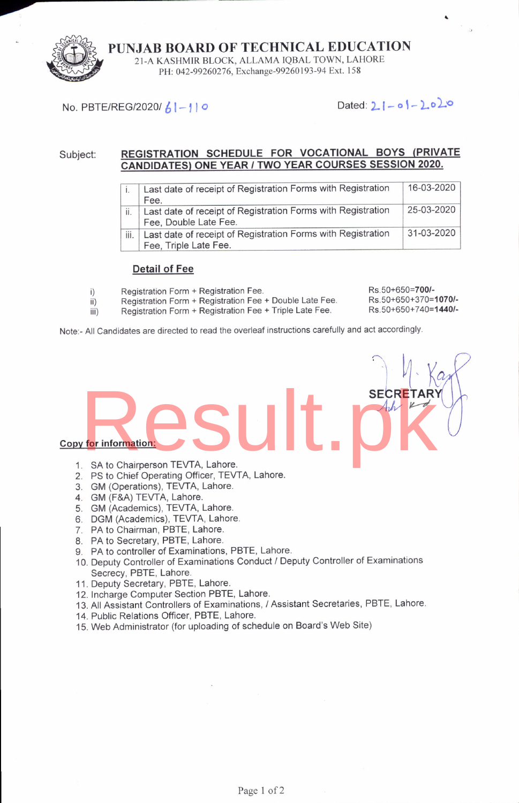

PUNJAB BOARD OF TECHNICAL EDUCATION 21-A KASHMIR BLOCK, ALLAMA IQBAL TOWN, LAHORE PH: 042-99260276, Exchange-99260193-94 Ext. 158

## No. PBTE/REG/2020/  $61 - 110$  Dated:  $21 - 61 - 2020$

#### REGISTRATION SCHEDULE FOR VOCATIONAL BOYS (PRIVATE Subject: CANDIDATES) ONE YEAR / TWO YEAR COURSES SESSION 2020.

|      | Last date of receipt of Registration Forms with Registration                          | 16-03-2020 |
|------|---------------------------------------------------------------------------------------|------------|
|      | Fee.                                                                                  |            |
| ii.  | Last date of receipt of Registration Forms with Registration<br>Fee, Double Late Fee. | 25-03-2020 |
| iii. | Last date of receipt of Registration Forms with Registration<br>Fee, Triple Late Fee. | 31-03-2020 |

#### Detail of Fee

- 
- i) Registration Form + Registration Fee.<br>ii) Registration Form + Registration Fee ii) Registration Form + Registration Fee + Double Late Fee.<br>iii) Registration Form + Registration Fee + Triple Late Fee.
	- Registration Form + Registration Fee + Triple Late Fee.

Rs.50+650=7001 Rs.50+650+370=1070/-Rs.50+650+740=1440/-

Note:- All Candidates are directed to read the overleaf instructions carefully and act accordingly.

Copv for information:

- 1. SA to Chairperson TEVTA, Lahore. SECRETARY<br>SA to Chairperson TEVTA. Lahore.
- 2. PS to Chief Operating Officer, TEWA, Lahore.
- 3. GM (Operations), TEVTA, Lahore.
- 4. GM (F&A) TEVTA, Lahore.
- 5. GM (Academics), TEVTA, Lahore.
- 6. DGM (Academics), TEVTA, Lahore.
- 7. PA to Chairman, PBTE, Lahore.
- 8. PA to Secretary, PBTE, Lahore.
- 9. PA to controller of Examinations, PBTE, Lahore.
- 10. Deputy Controller of Examinations Conduct / Deputy Controller of Examinations Secrecy, PBTE, Lahore.
- 11. Deputy Secretary, PBTE, Lahore.
- 12. Incharge Computer Section PBTE, Lahore.
- 13. All Assistant Controllers of Examinations, / Assistant Secretaries, PBTE, Lahore.
- 14. Public Relations Officer, PBTE, Lahore.
- 15. Web Administrator (for uploading of schedule on Board's Web Site)